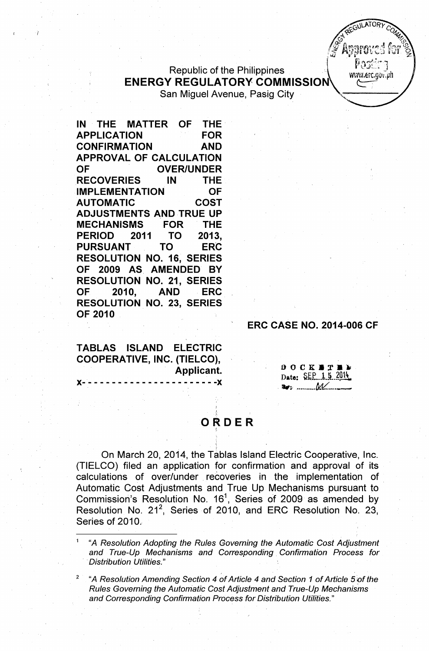## Republic of the Philippines ENERGY REGULATORY COMMISSION San Miguel Avenue, Pasig City

IN THE MATTER OF THE' APPLICATION FOR CONFIRMATION AND APPROVAL OF CALCULATION OF OVER/UNDER RECOVERIES IN THE IMPLEMENTATION OF AUTOMATIC COST ADJUSTMENTS AND TRUE UP MECHANISMS FOR' THE PERIOD 2011 TO 2013, PURSUANT TO ERC RESOLUTION NO. 16, SERIES OF 2009 AS. AMENDED BY RESOLUTION NO. 21, SERIES OF 2010, AND ERC RESOLUTION NO. 23, SERIES OF 2010

### ERC CASE NO. 2014-006 CF

GULATORY

www.erc.gov.ph

TABLAS ISLAND ELECTRIC COOPERATIVE, INC. (TIELCO), Applicant.

)(- -- - - - - - - -- - - - - - - - - - - - -)(

 $OOCK = T E$ Date: SEP 15 2014 , ~1; .••". \_\_ ••• *tJ&t:\_.-*

# **ORDER**

On March 20, 2014, the Tablas Island Electric Cooperative, Inc. (TIELCO) filed an application for confirmation and approval of its calculations of over/under recoveries in the implementation of Automatic Cost Adjustments and True Up Mechanisms pursuant to Commission's Resolution No. 16<sup>1</sup>, Series of 2009 as amended by Resolution No. 21<sup>2</sup>, Series of 2010, and ERC Resolution No. 23, Series of 2010.

<sup>1</sup> "A *Resolution Adopting the Rules Governing the Automatic Cost Adjustment and True-Up Mechanisms and Corresponding. Confirmation Process for Distribution Utilities.*"

<sup>2</sup> "A *Resolution Amending Section* 4 *of Article* 4 *and Section* 1 *of Article Sof the Rules Governing the Automatic Cost Adjustment and True-Up Mechanisms and Corresponding Confirmation Process for Distribution Utilities.* II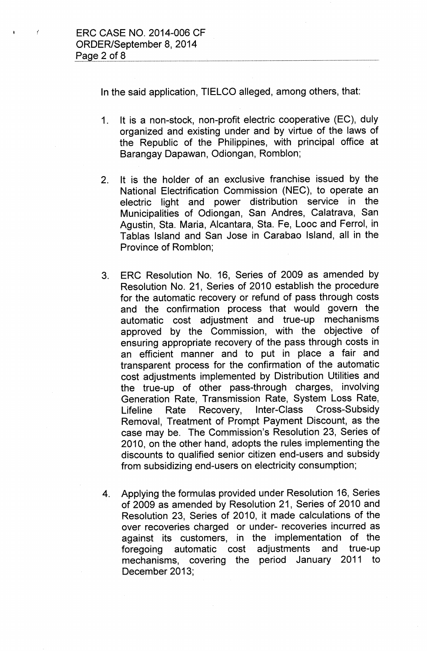ł.

In the said application, TIELCO alleged, among others, that:

- 1. It is a non-stock, non-profit electric cooperative (EC), duly organized and existing under and by virtue of the laws of the Republic of the Philippines, with principal office at Barangay Dapawan, Odiongan, Romblon;
- 2. It is the holder of an exclusive franchise issued by the National Electrification Commission (NEC), to operate an electric light and power distribution service in the Municipalities of Odiongan, San Andres, Calatrava, San Agustin, Sta. Maria, Alcantara, Sta. Fe, Looc and Ferrol, in Tablas Island and San Jose in Carabao Island, all in the Province of Romblon;
- 3. ERC Resolution No. 16, Series of 2009 as amended by Resolution No. 21, Series of 2010 establish the procedure for the automatic recovery or refund of pass through costs and the confirmation process that would govern the automatic cost adjustment and true-up mechanisms approved by the Commission, with the objective of ensuring appropriate recovery of the pass through costs in an efficient manner and to put in place a fair and transparent process for the confirmation of the automatic cost adjustments implemented by Distribution Utilities and the true-up of other pass-through charges, involving Generation Rate, Transmission Rate, System Loss Rate, Lifeline Rate Recovery, Inter-Class Cross-Subsidy Removal, Treatment of Prompt Payment Discount, as the case may be. The Commission's Resolution 23, Series of 2010, on the other hand, adopts the rules implementing the discounts to qualified senior citizen end-users and subsidy from subsidizing end-users on electricity consumption;
- 4. Applying the formulas provided under Resolution 16, Series of 2009 as amended by Resolution 21, Series of 2010 and Resolution 23, Series of 2010, it made calculations of the over recoveries charged or under- recoveries incurred as against its customers, in the implementation of the foregoing automatic cost adjustments and true-up mechanisms, covering the period January 2011 to December 2013;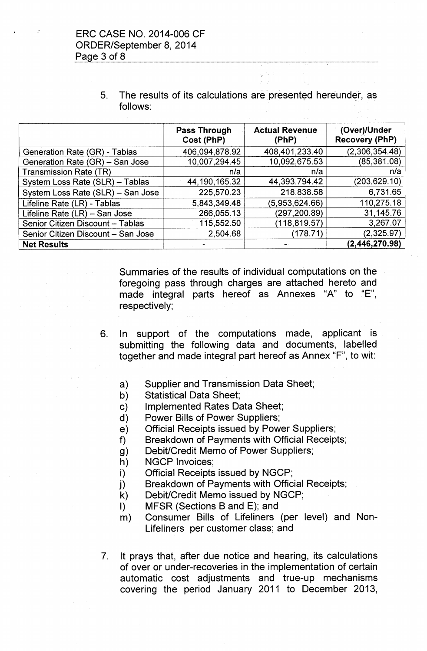5. The results of its calculations are presented hereunder, as follows:

- .

|                                    | <b>Pass Through</b><br>Cost (PhP) | <b>Actual Revenue</b><br>(PhP) | (Over)/Under<br><b>Recovery (PhP)</b> |
|------------------------------------|-----------------------------------|--------------------------------|---------------------------------------|
| Generation Rate (GR) - Tablas      | 406,094,878.92                    | 408,401,233.40                 | (2,306,354.48)                        |
| Generation Rate (GR) - San Jose    | 10,007,294.45                     | 10,092,675.53                  | (85, 381.08)                          |
| <b>Transmission Rate (TR)</b>      | n/a                               | n/a                            | n/a                                   |
| System Loss Rate (SLR) - Tablas    | 44, 190, 165. 32                  | 44,393.794.42                  | (203,629.10)                          |
| System Loss Rate (SLR) - San Jose  | 225,570.23                        | 218,838.58                     | 6,731.65                              |
| Lifeline Rate (LR) - Tablas        | 5,843,349.48                      | (5,953,624.66)                 | 110,275.18                            |
| Lifeline Rate (LR) - San Jose      | 266,055.13                        | (297, 200.89)                  | 31,145.76                             |
| Senior Citizen Discount - Tablas   | 115,552.50                        | (118, 819.57)                  | 3,267.07                              |
| Senior Citizen Discount - San Jose | 2,504.68                          | (178.71)                       | (2,325.97)                            |
| <b>Net Results</b>                 |                                   |                                | (2,446,270.98)                        |

Summaries of the results of individual computations on the foregoing pass through charges are attached hereto and made integral parts hereof as Annexes "A" to "E", respectively;

- 6. In support of the computations made, applicant is submitting the following data and documents, labelled together and made integral part hereof as Annex "F", to wit:
	- a) Supplier and Transmission Data Sheet;
	- b) Statistical Data Sheet;
	- c) Implemented Rates Data Sheet;
	- d) Power Bills of Power Suppliers;
	- e) Official Receipts issued by Power Suppliers;
	- f) Breakdown of Payments with Official Receipts;
	- g) Debit/Credit Memo of Power Suppliers;
	- h) NGCP Invoices;
	- i) Official Receipts issued by NGCP;
	- j) Breakdown of Payments with Official Receipts;
	- k) Debit/Credit Memo issued by NGCP;
	- I) MFSR (Sections B and E); and
	- m) Consumer Bills of Lifeliners (per level) and Non-Lifeliners per customer class; and
- 7. It prays that, after due notice and hearing, its calculations of over or under-recoveries in the implementation of certain automatic cost adjustments and true-up mechanisms covering the period January 2011 to December 2013,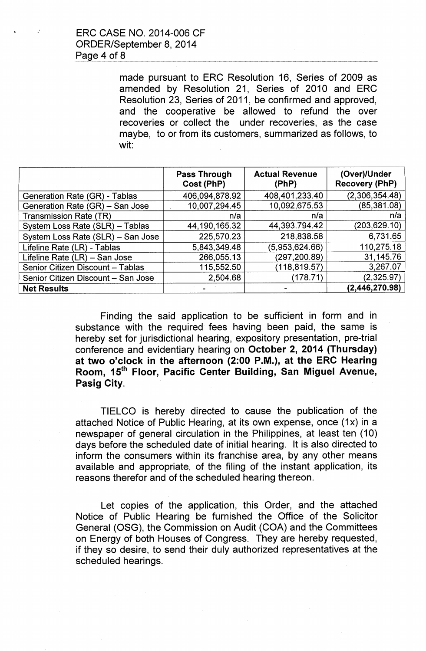made pursuant to ERC Resolution 16, Series of 2009 as amended by Resolution 21, Series of 2010 and ERC Resolution 23, Series of 2011, be confirmed and approved, and the cooperative be allowed to refund the over recoveries or collect the under recoveries, as the case maybe, to or from its customers, summarized as follows, to wit:

|                                    | <b>Pass Through</b><br>Cost (PhP) | <b>Actual Revenue</b><br>(PhP) | (Over)/Under<br><b>Recovery (PhP)</b> |
|------------------------------------|-----------------------------------|--------------------------------|---------------------------------------|
| Generation Rate (GR) - Tablas      | 406,094,878.92                    | 408,401,233.40                 | (2,306,354.48)                        |
| Generation Rate (GR) - San Jose    | 10,007,294.45                     | 10,092,675.53                  | (85, 381.08)                          |
| <b>Transmission Rate (TR)</b>      | n/a                               | n/a                            | n/a                                   |
| System Loss Rate (SLR) - Tablas    | 44, 190, 165. 32                  | 44,393.794.42                  | (203, 629.10)                         |
| System Loss Rate (SLR) - San Jose  | 225,570.23                        | 218,838.58                     | 6,731.65                              |
| Lifeline Rate (LR) - Tablas        | 5,843,349.48                      | (5,953,624.66)                 | 110,275.18                            |
| Lifeline Rate (LR) - San Jose      | 266,055.13                        | (297,200.89)                   | 31,145.76                             |
| Senior Citizen Discount - Tablas   | 115,552.50                        | (118, 819.57)                  | 3,267.07                              |
| Senior Citizen Discount - San Jose | 2,504.68                          | (178.71)                       | (2,325.97)                            |
| <b>Net Results</b>                 |                                   |                                | (2,446,270.98)                        |

Finding the said application to be sufficient in form and in substance with the required fees having been paid, the same is hereby set for jurisdictional hearing, expository presentation, pre-trial conference and evidentiary hearing on October 2, 2014 (Thursday) at two o'clock in the afternoon (2:00 P.M.), at the ERC Hearing Room, 15<sup>th</sup> Floor, Pacific Center Building, San Miguel Avenue, Pasig City.

TIELCO is hereby directed to cause the publication of the attached Notice of Public Hearing, at its own expense, once (1x) in a newspaper of general circulation in the Philippines, at least ten (10) days before the scheduled date of initial hearing. It is also directed to inform the consumers within its franchise area, by any other means available and appropriate, of the filing of the instant application, its reasons therefor and of the scheduled hearing thereon.

Let copies of the application, this Order, and the attached Notice of Public Hearing be furnished the Office of the Solicitor General (OSG), the Commission on Audit (COA) and the Committees on Energy of both Houses of Congress. They are hereby requested, if they so desire, to send their duly authorized representatives at the scheduled hearings.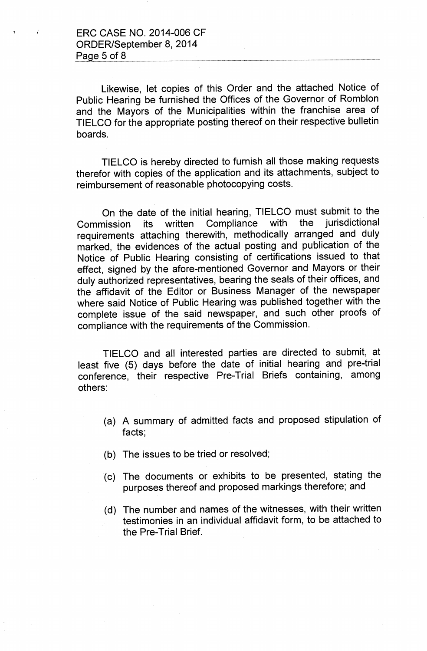,. ERC CASE NO. 2014-006 CF ORDER/September 8, 2014 Page  $5$  of  $8$ 

Likewise, let copies of this Order and the attached Notice of Public Hearing be furnished the Offices of the Governor of Romblon and the Mayors of the Municipalities within the franchise area of TIELCO for the appropriate posting thereof on their respective bulletin boards.

TIELCO is hereby directed to furnish all those making requests therefor with copies of the application and its attachments, subject to reimbursement of reasonable photocopying costs.

On the date of the initial hearing, TIELCO must submit to the Commission its written Compliance with the jurisdictional requirements attaching therewith, methodically arranged and duly marked, the evidences of the actual posting and publication of the Notice of Public Hearing consisting of certifications issued to that effect, signed by the afore-mentioned Governor and Mayors or their duly authorized representatives, bearing the seals of their offices, and the affidavit of the Editor or Business Manager of the newspaper where said Notice of Public Hearing was published together with the complete issue of the said newspaper, and such other proofs of compliance with the requirements of the Commission.

TIELCO and all interested parties are directed to submit, at least five (5) days before the date of initial hearing and pre-trial conference, their respective Pre-Trial Briefs containing, among others:

- (a) A summary of admitted facts and proposed stipulation of facts;
- (b) The issues to be tried or resolved;
- (c) The documents or exhibits to be presented, stating the purposes thereof and proposed markings therefore; and
- (d) The number and names of the witnesses, with their written testimonies in an individual affidavit form, to be attached to the Pre-Trial Brief.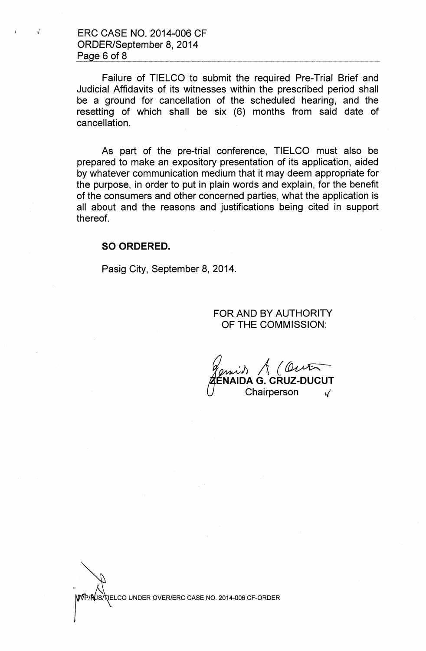$\mathcal{I}$  ERC CASE NO. 2014-006 CF ORDER/September 8,2014 Page 6 of 8

> Failure of TIELCO to submit the required Pre-Trial Brief and Judicial Affidavits of its witnesses within the prescribed period shall be a ground for cancellation of the scheduled hearing, and the resetting of which shall be six (6) months from said date of cancellation.

> As part of the pre-trial conference, TIELCO must also be prepared to make an expository presentation of its application, aided by whatever communication medium that it may deem appropriate for the purpose, in order to put in plain words and explain, for the benefit of the consumers and other concerned parties, what the application is all about and the reasons and justifications being cited in support thereof.

### SO ORDERED.

Pasig City, September 8, 2014.

### FOR AND BY AUTHORITY OF THE COMMISSION:

**ZÉN**<br>U *'~ll A{~* ENAIDA G. CRUZ-DUCUT Chairperson "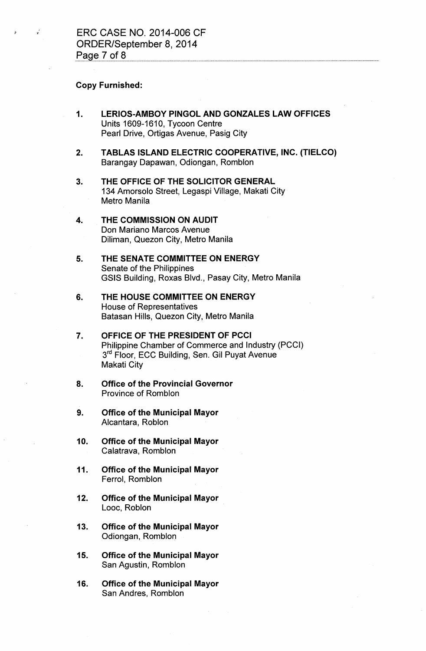#### Copy Furnished:

- 1. LERIOS-AMBOY PINGOL AND GONZALES LAW OFFICES Units 1609-1610, Tycoon Centre Pearl Drive, Ortigas Avenue, Pasig City
- 2. TABLAS ISLAND ELECTRIC COOPERATIVE, INC. (TIELCO) Barangay Dapawan, Odiongan, Romblon
- 3. THE OFFICE OF THE SOLICITOR GENERAL 134 Amorsolo Street, Legaspi Village, Makati City Metro Manila
- 4. THE COMMISSION ON AUDIT Don Mariano Marcos Avenue Diliman, Quezon City, Metro Manila
- 5. THE SENATE COMMITTEE ON ENERGY Senate of the Philippines GSIS Building, Roxas Blvd., Pasay City, Metro Manila
- 6. THE HOUSE COMMITTEE ON ENERGY House of Representatives Batasan Hills, Quezon City, Metro Manila
- 7. OFFICE OF THE PRESIDENT OF PCCI Philippine Chamber of Commerce and Industry (PCCI) 3<sup>rd</sup> Floor, ECC Building, Sen. Gil Puyat Avenue Makati City
- 8. Office of the Provincial Governor Province of Romblon
- 9. Office of the Municipal Mayor Alcantara, Roblon
- 10. Office of the Municipal Mayor Calatrava, Romblon
- 11. Office of the Municipal Mayor Ferrol, Romblon
- 12. Office of the Municipal Mayor Looc, Roblon
- 13. Office of the Municipal Mayor Odiongan, Romblon
- 15. Office of the Municipal Mayor San Agustin, Romblon
- 16. Office of the Municipal Mayor San Andres, Romblon